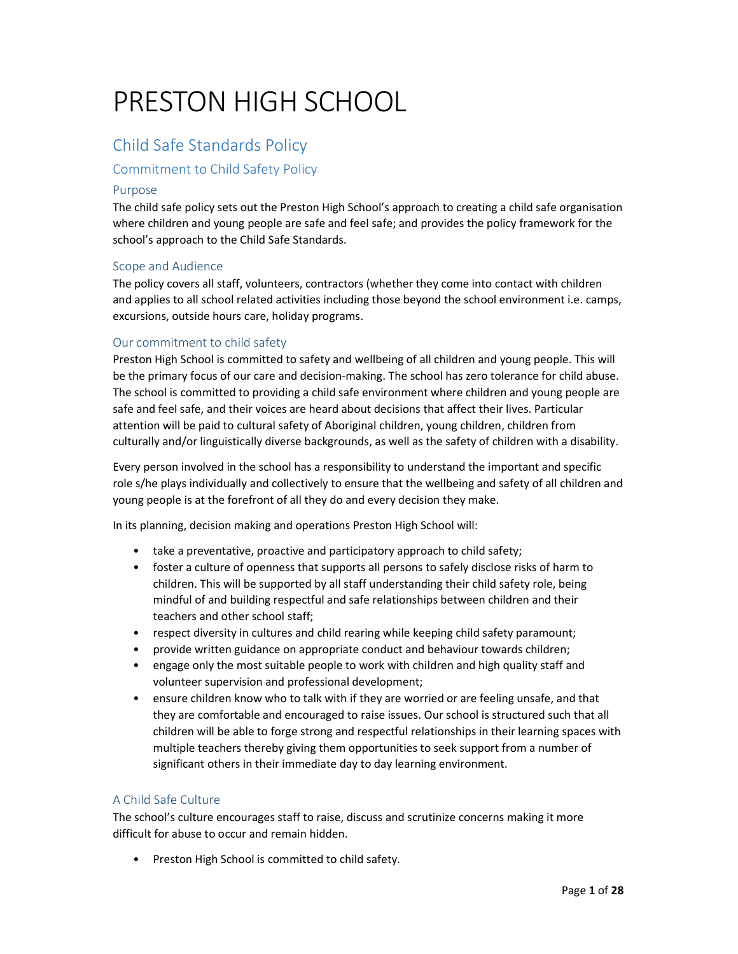# PRESTON HIGH SCHOOL

# Child Safe Standards Policy

# Commitment to Child Safety Policy

# Purpose

The child safe policy sets out the Preston High School's approach to creating a child safe organisation where children and young people are safe and feel safe; and provides the policy framework for the school's approach to the Child Safe Standards.

## Scope and Audience

The policy covers all staff, volunteers, contractors (whether they come into contact with children and applies to all school related activities including those beyond the school environment i.e. camps, excursions, outside hours care, holiday programs.

## Our commitment to child safety

Preston High School is committed to safety and wellbeing of all children and young people. This will be the primary focus of our care and decision-making. The school has zero tolerance for child abuse. The school is committed to providing a child safe environment where children and young people are safe and feel safe, and their voices are heard about decisions that affect their lives. Particular attention will be paid to cultural safety of Aboriginal children, young children, children from culturally and/or linguistically diverse backgrounds, as well as the safety of children with a disability.

Every person involved in the school has a responsibility to understand the important and specific role s/he plays individually and collectively to ensure that the wellbeing and safety of all children and young people is at the forefront of all they do and every decision they make.

In its planning, decision making and operations Preston High School will:

- take a preventative, proactive and participatory approach to child safety;
- foster a culture of openness that supports all persons to safely disclose risks of harm to children. This will be supported by all staff understanding their child safety role, being mindful of and building respectful and safe relationships between children and their teachers and other school staff;
- respect diversity in cultures and child rearing while keeping child safety paramount;
- provide written guidance on appropriate conduct and behaviour towards children;
- engage only the most suitable people to work with children and high quality staff and volunteer supervision and professional development;
- ensure children know who to talk with if they are worried or are feeling unsafe, and that they are comfortable and encouraged to raise issues. Our school is structured such that all children will be able to forge strong and respectful relationships in their learning spaces with multiple teachers thereby giving them opportunities to seek support from a number of significant others in their immediate day to day learning environment.

# A Child Safe Culture

The school's culture encourages staff to raise, discuss and scrutinize concerns making it more difficult for abuse to occur and remain hidden.

• Preston High School is committed to child safety.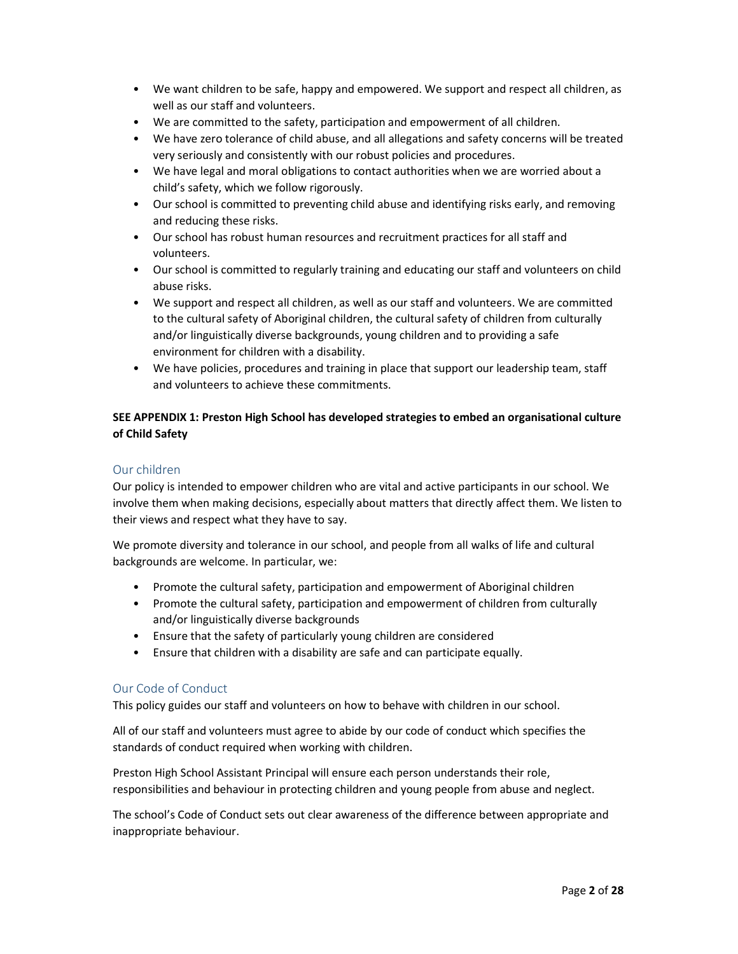- We want children to be safe, happy and empowered. We support and respect all children, as well as our staff and volunteers.
- We are committed to the safety, participation and empowerment of all children.
- We have zero tolerance of child abuse, and all allegations and safety concerns will be treated very seriously and consistently with our robust policies and procedures.
- We have legal and moral obligations to contact authorities when we are worried about a child's safety, which we follow rigorously.
- Our school is committed to preventing child abuse and identifying risks early, and removing and reducing these risks.
- Our school has robust human resources and recruitment practices for all staff and volunteers.
- Our school is committed to regularly training and educating our staff and volunteers on child abuse risks.
- We support and respect all children, as well as our staff and volunteers. We are committed to the cultural safety of Aboriginal children, the cultural safety of children from culturally and/or linguistically diverse backgrounds, young children and to providing a safe environment for children with a disability.
- We have policies, procedures and training in place that support our leadership team, staff and volunteers to achieve these commitments.

# SEE APPENDIX 1: Preston High School has developed strategies to embed an organisational culture of Child Safety

# Our children

Our policy is intended to empower children who are vital and active participants in our school. We involve them when making decisions, especially about matters that directly affect them. We listen to their views and respect what they have to say.

We promote diversity and tolerance in our school, and people from all walks of life and cultural backgrounds are welcome. In particular, we:

- Promote the cultural safety, participation and empowerment of Aboriginal children
- Promote the cultural safety, participation and empowerment of children from culturally and/or linguistically diverse backgrounds
- Ensure that the safety of particularly young children are considered
- Ensure that children with a disability are safe and can participate equally.

# Our Code of Conduct

This policy guides our staff and volunteers on how to behave with children in our school.

All of our staff and volunteers must agree to abide by our code of conduct which specifies the standards of conduct required when working with children.

Preston High School Assistant Principal will ensure each person understands their role, responsibilities and behaviour in protecting children and young people from abuse and neglect.

The school's Code of Conduct sets out clear awareness of the difference between appropriate and inappropriate behaviour.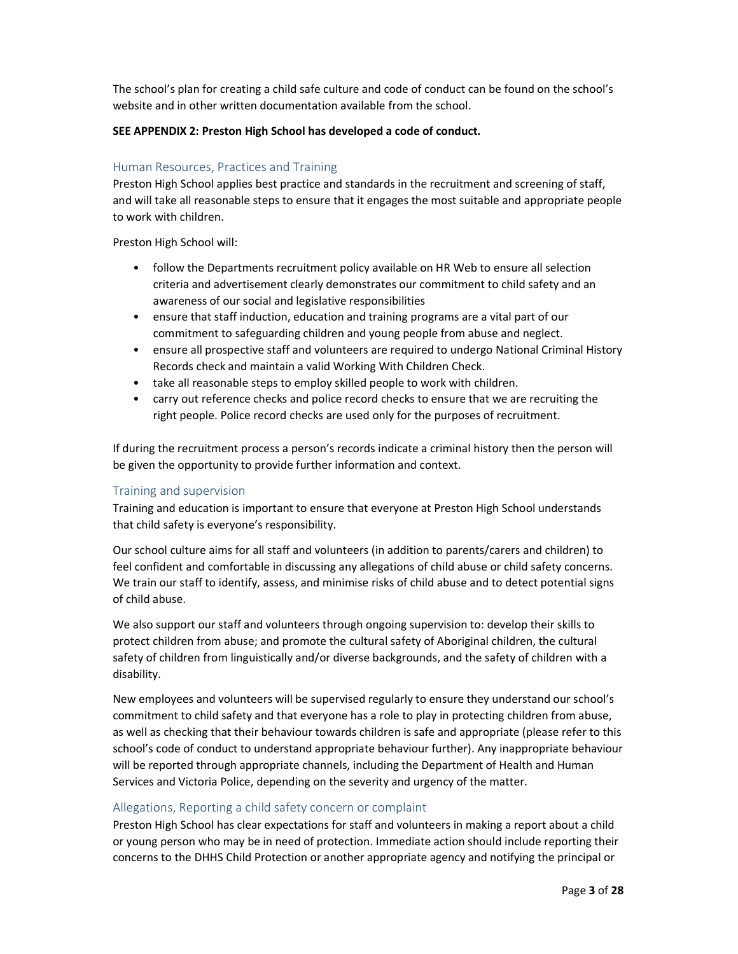The school's plan for creating a child safe culture and code of conduct can be found on the school's website and in other written documentation available from the school.

## SEE APPENDIX 2: Preston High School has developed a code of conduct.

# Human Resources, Practices and Training

Preston High School applies best practice and standards in the recruitment and screening of staff, and will take all reasonable steps to ensure that it engages the most suitable and appropriate people to work with children.

Preston High School will:

- follow the Departments recruitment policy available on HR Web to ensure all selection criteria and advertisement clearly demonstrates our commitment to child safety and an awareness of our social and legislative responsibilities
- ensure that staff induction, education and training programs are a vital part of our commitment to safeguarding children and young people from abuse and neglect.
- ensure all prospective staff and volunteers are required to undergo National Criminal History Records check and maintain a valid Working With Children Check.
- take all reasonable steps to employ skilled people to work with children.
- carry out reference checks and police record checks to ensure that we are recruiting the right people. Police record checks are used only for the purposes of recruitment.

If during the recruitment process a person's records indicate a criminal history then the person will be given the opportunity to provide further information and context.

# Training and supervision

Training and education is important to ensure that everyone at Preston High School understands that child safety is everyone's responsibility.

Our school culture aims for all staff and volunteers (in addition to parents/carers and children) to feel confident and comfortable in discussing any allegations of child abuse or child safety concerns. We train our staff to identify, assess, and minimise risks of child abuse and to detect potential signs of child abuse.

We also support our staff and volunteers through ongoing supervision to: develop their skills to protect children from abuse; and promote the cultural safety of Aboriginal children, the cultural safety of children from linguistically and/or diverse backgrounds, and the safety of children with a disability.

New employees and volunteers will be supervised regularly to ensure they understand our school's commitment to child safety and that everyone has a role to play in protecting children from abuse, as well as checking that their behaviour towards children is safe and appropriate (please refer to this school's code of conduct to understand appropriate behaviour further). Any inappropriate behaviour will be reported through appropriate channels, including the Department of Health and Human Services and Victoria Police, depending on the severity and urgency of the matter.

# Allegations, Reporting a child safety concern or complaint

Preston High School has clear expectations for staff and volunteers in making a report about a child or young person who may be in need of protection. Immediate action should include reporting their concerns to the DHHS Child Protection or another appropriate agency and notifying the principal or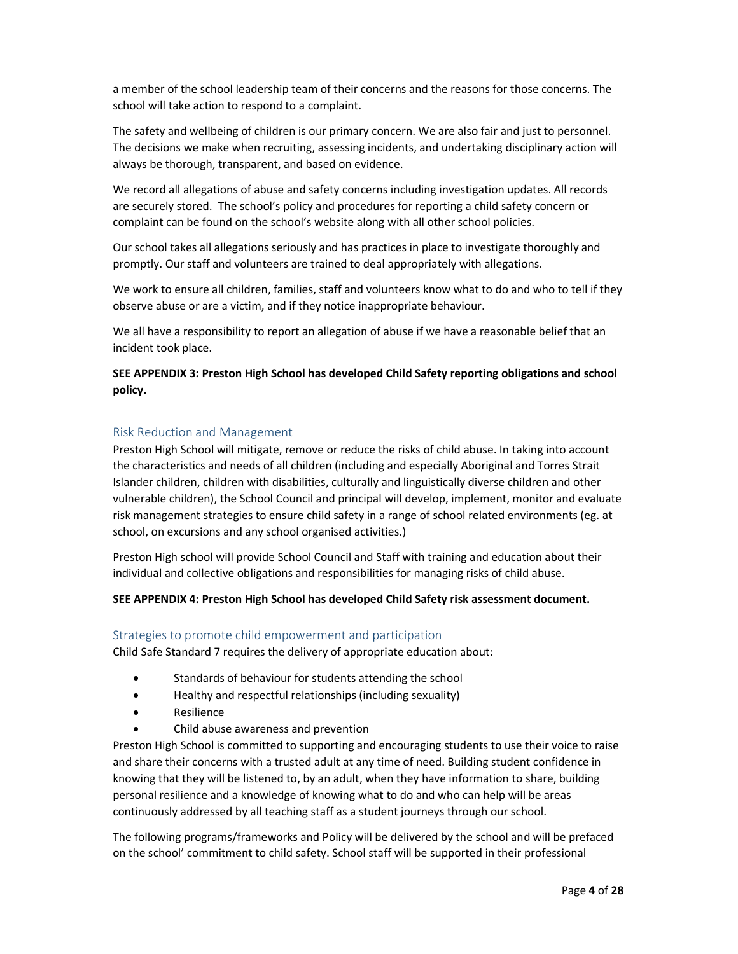a member of the school leadership team of their concerns and the reasons for those concerns. The school will take action to respond to a complaint.

The safety and wellbeing of children is our primary concern. We are also fair and just to personnel. The decisions we make when recruiting, assessing incidents, and undertaking disciplinary action will always be thorough, transparent, and based on evidence.

We record all allegations of abuse and safety concerns including investigation updates. All records are securely stored. The school's policy and procedures for reporting a child safety concern or complaint can be found on the school's website along with all other school policies.

Our school takes all allegations seriously and has practices in place to investigate thoroughly and promptly. Our staff and volunteers are trained to deal appropriately with allegations.

We work to ensure all children, families, staff and volunteers know what to do and who to tell if they observe abuse or are a victim, and if they notice inappropriate behaviour.

We all have a responsibility to report an allegation of abuse if we have a reasonable belief that an incident took place.

SEE APPENDIX 3: Preston High School has developed Child Safety reporting obligations and school policy.

#### Risk Reduction and Management

Preston High School will mitigate, remove or reduce the risks of child abuse. In taking into account the characteristics and needs of all children (including and especially Aboriginal and Torres Strait Islander children, children with disabilities, culturally and linguistically diverse children and other vulnerable children), the School Council and principal will develop, implement, monitor and evaluate risk management strategies to ensure child safety in a range of school related environments (eg. at school, on excursions and any school organised activities.)

Preston High school will provide School Council and Staff with training and education about their individual and collective obligations and responsibilities for managing risks of child abuse.

#### SEE APPENDIX 4: Preston High School has developed Child Safety risk assessment document.

#### Strategies to promote child empowerment and participation

Child Safe Standard 7 requires the delivery of appropriate education about:

- Standards of behaviour for students attending the school
- Healthy and respectful relationships (including sexuality)
- Resilience
- Child abuse awareness and prevention

Preston High School is committed to supporting and encouraging students to use their voice to raise and share their concerns with a trusted adult at any time of need. Building student confidence in knowing that they will be listened to, by an adult, when they have information to share, building personal resilience and a knowledge of knowing what to do and who can help will be areas continuously addressed by all teaching staff as a student journeys through our school.

The following programs/frameworks and Policy will be delivered by the school and will be prefaced on the school' commitment to child safety. School staff will be supported in their professional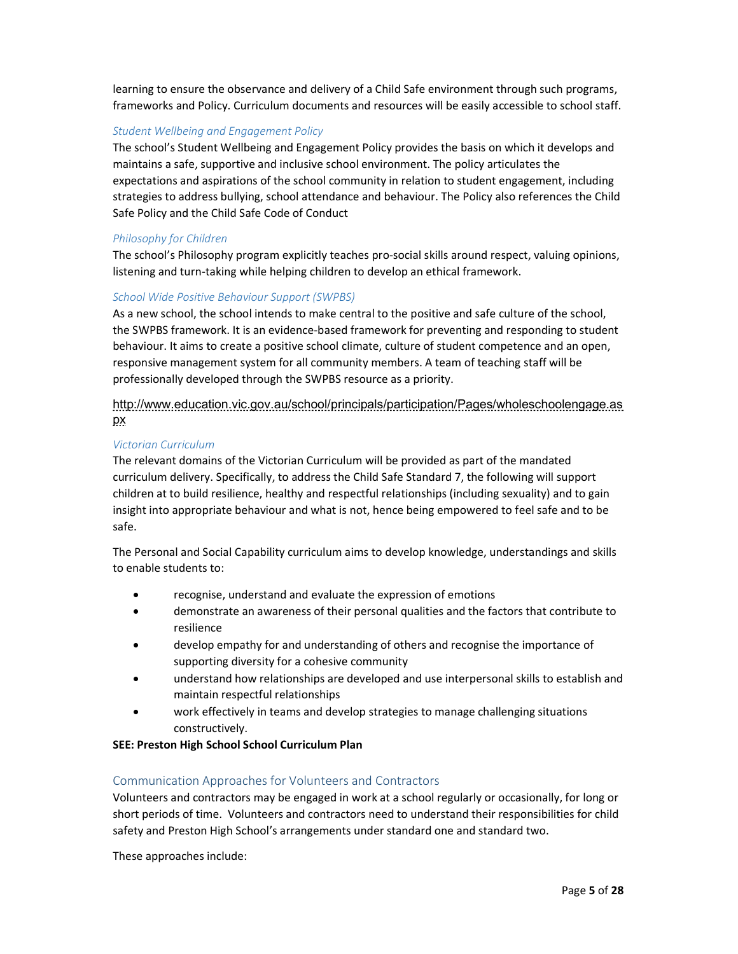learning to ensure the observance and delivery of a Child Safe environment through such programs, frameworks and Policy. Curriculum documents and resources will be easily accessible to school staff.

# Student Wellbeing and Engagement Policy

The school's Student Wellbeing and Engagement Policy provides the basis on which it develops and maintains a safe, supportive and inclusive school environment. The policy articulates the expectations and aspirations of the school community in relation to student engagement, including strategies to address bullying, school attendance and behaviour. The Policy also references the Child Safe Policy and the Child Safe Code of Conduct

## Philosophy for Children

The school's Philosophy program explicitly teaches pro-social skills around respect, valuing opinions, listening and turn-taking while helping children to develop an ethical framework.

## School Wide Positive Behaviour Support (SWPBS)

As a new school, the school intends to make central to the positive and safe culture of the school, the SWPBS framework. It is an evidence-based framework for preventing and responding to student behaviour. It aims to create a positive school climate, culture of student competence and an open, responsive management system for all community members. A team of teaching staff will be professionally developed through the SWPBS resource as a priority.

# http://www.education.vic.gov.au/school/principals/participation/Pages/wholeschoolengage.as px

#### Victorian Curriculum

The relevant domains of the Victorian Curriculum will be provided as part of the mandated curriculum delivery. Specifically, to address the Child Safe Standard 7, the following will support children at to build resilience, healthy and respectful relationships (including sexuality) and to gain insight into appropriate behaviour and what is not, hence being empowered to feel safe and to be safe.

The Personal and Social Capability curriculum aims to develop knowledge, understandings and skills to enable students to:

- recognise, understand and evaluate the expression of emotions
- demonstrate an awareness of their personal qualities and the factors that contribute to resilience
- develop empathy for and understanding of others and recognise the importance of supporting diversity for a cohesive community
- understand how relationships are developed and use interpersonal skills to establish and maintain respectful relationships
- work effectively in teams and develop strategies to manage challenging situations constructively.

#### SEE: Preston High School School Curriculum Plan

#### Communication Approaches for Volunteers and Contractors

Volunteers and contractors may be engaged in work at a school regularly or occasionally, for long or short periods of time. Volunteers and contractors need to understand their responsibilities for child safety and Preston High School's arrangements under standard one and standard two.

These approaches include: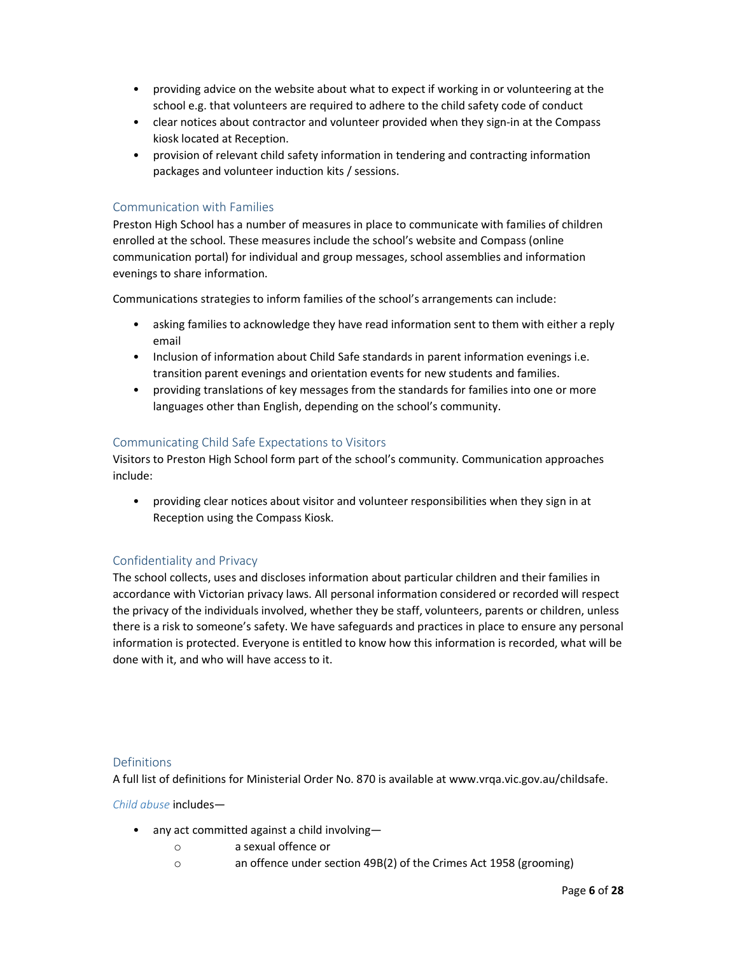- providing advice on the website about what to expect if working in or volunteering at the school e.g. that volunteers are required to adhere to the child safety code of conduct
- clear notices about contractor and volunteer provided when they sign-in at the Compass kiosk located at Reception.
- provision of relevant child safety information in tendering and contracting information packages and volunteer induction kits / sessions.

# Communication with Families

Preston High School has a number of measures in place to communicate with families of children enrolled at the school. These measures include the school's website and Compass (online communication portal) for individual and group messages, school assemblies and information evenings to share information.

Communications strategies to inform families of the school's arrangements can include:

- asking families to acknowledge they have read information sent to them with either a reply email
- Inclusion of information about Child Safe standards in parent information evenings i.e. transition parent evenings and orientation events for new students and families.
- providing translations of key messages from the standards for families into one or more languages other than English, depending on the school's community.

#### Communicating Child Safe Expectations to Visitors

Visitors to Preston High School form part of the school's community. Communication approaches include:

• providing clear notices about visitor and volunteer responsibilities when they sign in at Reception using the Compass Kiosk.

# Confidentiality and Privacy

The school collects, uses and discloses information about particular children and their families in accordance with Victorian privacy laws. All personal information considered or recorded will respect the privacy of the individuals involved, whether they be staff, volunteers, parents or children, unless there is a risk to someone's safety. We have safeguards and practices in place to ensure any personal information is protected. Everyone is entitled to know how this information is recorded, what will be done with it, and who will have access to it.

#### **Definitions**

A full list of definitions for Ministerial Order No. 870 is available at www.vrqa.vic.gov.au/childsafe.

Child abuse includes—

- any act committed against a child involving
	- o a sexual offence or
	- o an offence under section 49B(2) of the Crimes Act 1958 (grooming)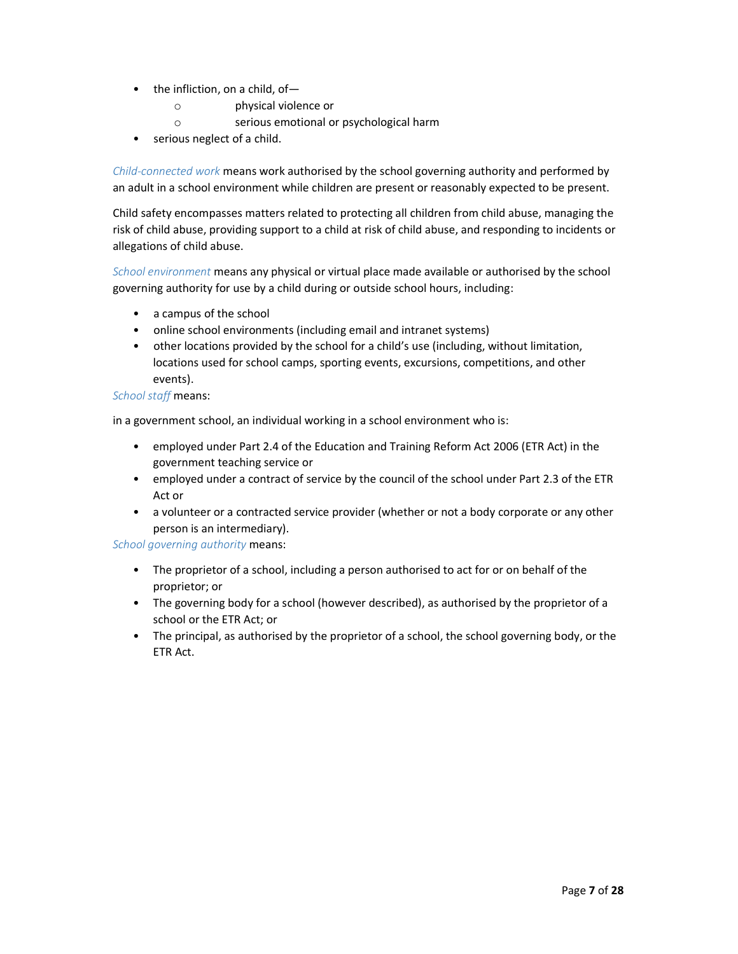- the infliction, on a child, of
	- o physical violence or
	- o serious emotional or psychological harm
- serious neglect of a child.

Child-connected work means work authorised by the school governing authority and performed by an adult in a school environment while children are present or reasonably expected to be present.

Child safety encompasses matters related to protecting all children from child abuse, managing the risk of child abuse, providing support to a child at risk of child abuse, and responding to incidents or allegations of child abuse.

School environment means any physical or virtual place made available or authorised by the school governing authority for use by a child during or outside school hours, including:

- a campus of the school
- online school environments (including email and intranet systems)
- other locations provided by the school for a child's use (including, without limitation, locations used for school camps, sporting events, excursions, competitions, and other events).

## School staff means:

in a government school, an individual working in a school environment who is:

- employed under Part 2.4 of the Education and Training Reform Act 2006 (ETR Act) in the government teaching service or
- employed under a contract of service by the council of the school under Part 2.3 of the ETR Act or
- a volunteer or a contracted service provider (whether or not a body corporate or any other person is an intermediary).

School governing authority means:

- The proprietor of a school, including a person authorised to act for or on behalf of the proprietor; or
- The governing body for a school (however described), as authorised by the proprietor of a school or the ETR Act; or
- The principal, as authorised by the proprietor of a school, the school governing body, or the ETR Act.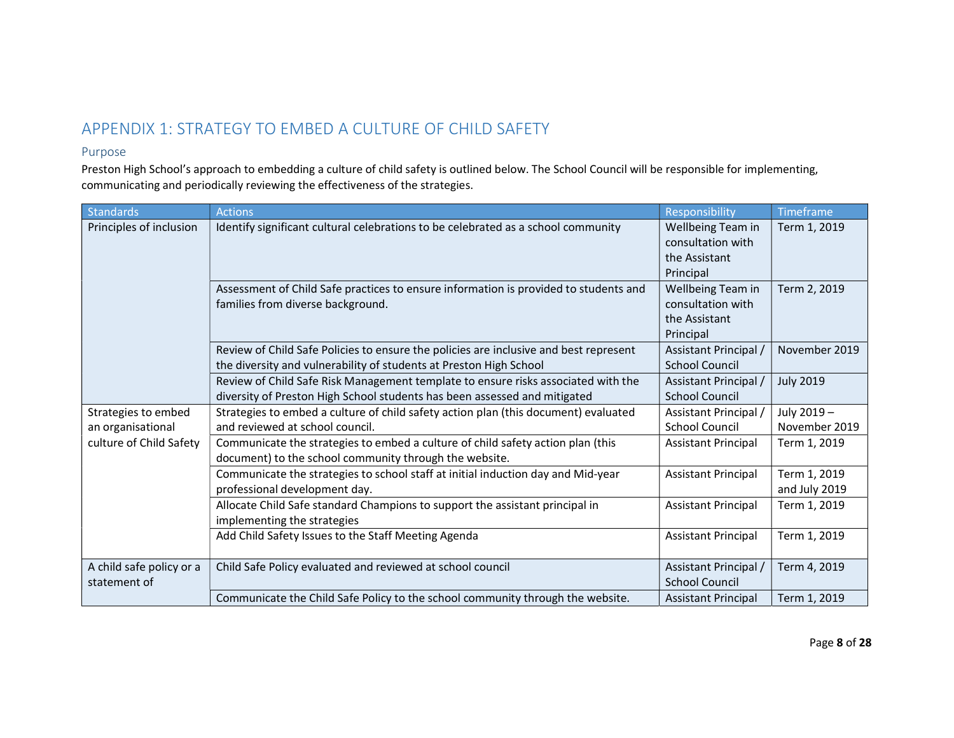# APPENDIX 1: STRATEGY TO EMBED A CULTURE OF CHILD SAFETY

# Purpose

Preston High School's approach to embedding a culture of child safety is outlined below. The School Council will be responsible for implementing, communicating and periodically reviewing the effectiveness of the strategies.

| <b>Standards</b>                                                    | <b>Actions</b>                                                                        | Responsibility             | Timeframe        |
|---------------------------------------------------------------------|---------------------------------------------------------------------------------------|----------------------------|------------------|
| Principles of inclusion                                             | Identify significant cultural celebrations to be celebrated as a school community     | Wellbeing Team in          | Term 1, 2019     |
|                                                                     |                                                                                       | consultation with          |                  |
|                                                                     |                                                                                       | the Assistant              |                  |
|                                                                     |                                                                                       | Principal                  |                  |
|                                                                     | Assessment of Child Safe practices to ensure information is provided to students and  | Wellbeing Team in          | Term 2, 2019     |
|                                                                     | families from diverse background.                                                     | consultation with          |                  |
|                                                                     |                                                                                       | the Assistant              |                  |
|                                                                     |                                                                                       | Principal                  |                  |
|                                                                     | Review of Child Safe Policies to ensure the policies are inclusive and best represent | Assistant Principal        | November 2019    |
|                                                                     | the diversity and vulnerability of students at Preston High School                    | <b>School Council</b>      |                  |
|                                                                     | Review of Child Safe Risk Management template to ensure risks associated with the     | Assistant Principal /      | <b>July 2019</b> |
|                                                                     | diversity of Preston High School students has been assessed and mitigated             | <b>School Council</b>      |                  |
| Strategies to embed<br>an organisational<br>culture of Child Safety | Strategies to embed a culture of child safety action plan (this document) evaluated   | Assistant Principal /      | July 2019-       |
|                                                                     | and reviewed at school council.                                                       | <b>School Council</b>      | November 2019    |
|                                                                     | Communicate the strategies to embed a culture of child safety action plan (this       | <b>Assistant Principal</b> | Term 1, 2019     |
|                                                                     | document) to the school community through the website.                                |                            |                  |
|                                                                     | Communicate the strategies to school staff at initial induction day and Mid-year      | <b>Assistant Principal</b> | Term 1, 2019     |
|                                                                     | professional development day.                                                         |                            | and July 2019    |
|                                                                     | Allocate Child Safe standard Champions to support the assistant principal in          | <b>Assistant Principal</b> | Term 1, 2019     |
|                                                                     | implementing the strategies                                                           |                            |                  |
|                                                                     | Add Child Safety Issues to the Staff Meeting Agenda                                   | <b>Assistant Principal</b> | Term 1, 2019     |
|                                                                     |                                                                                       |                            |                  |
| A child safe policy or a<br>statement of                            | Child Safe Policy evaluated and reviewed at school council                            | Assistant Principal /      | Term 4, 2019     |
|                                                                     |                                                                                       | <b>School Council</b>      |                  |
|                                                                     | Communicate the Child Safe Policy to the school community through the website.        | <b>Assistant Principal</b> | Term 1, 2019     |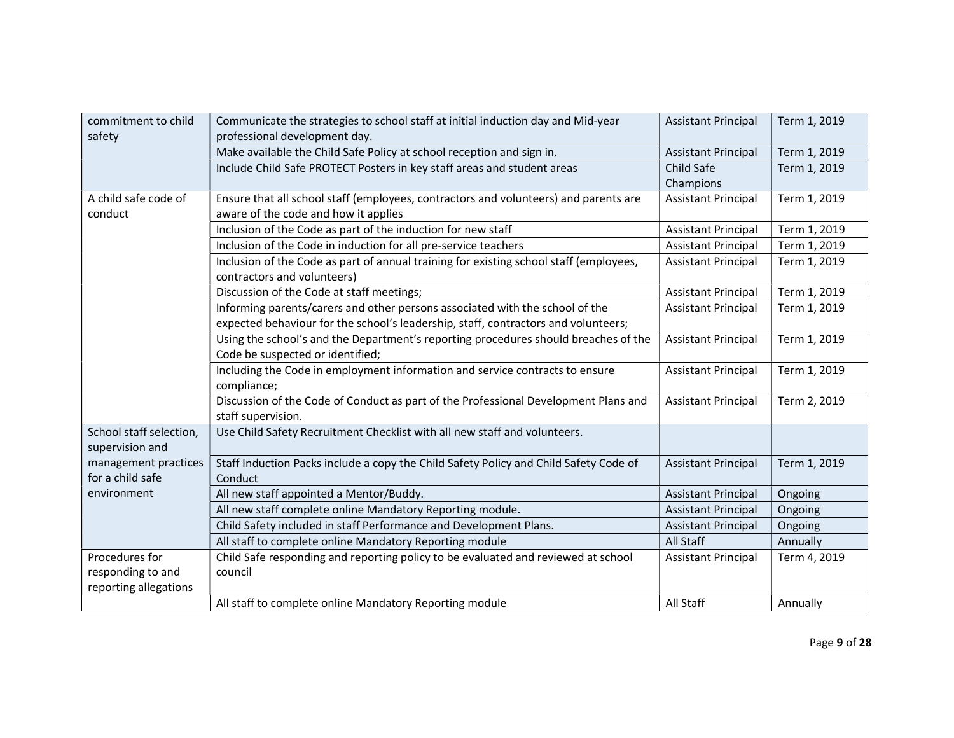| Communicate the strategies to school staff at initial induction day and Mid-year<br>Term 1, 2019<br><b>Assistant Principal</b><br>professional development day.<br>safety<br>Make available the Child Safe Policy at school reception and sign in.<br>Term 1, 2019<br><b>Assistant Principal</b><br>Include Child Safe PROTECT Posters in key staff areas and student areas<br>Child Safe<br>Term 1, 2019<br>Champions<br>A child safe code of<br>Ensure that all school staff (employees, contractors and volunteers) and parents are<br>Term 1, 2019<br><b>Assistant Principal</b><br>aware of the code and how it applies<br>conduct<br>Inclusion of the Code as part of the induction for new staff<br>Term 1, 2019<br><b>Assistant Principal</b><br>Inclusion of the Code in induction for all pre-service teachers<br>Term 1, 2019<br><b>Assistant Principal</b><br>Inclusion of the Code as part of annual training for existing school staff (employees,<br><b>Assistant Principal</b><br>Term 1, 2019<br>contractors and volunteers)<br>Term 1, 2019<br>Discussion of the Code at staff meetings;<br><b>Assistant Principal</b><br>Informing parents/carers and other persons associated with the school of the<br>Term 1, 2019<br><b>Assistant Principal</b><br>expected behaviour for the school's leadership, staff, contractors and volunteers;<br>Using the school's and the Department's reporting procedures should breaches of the<br><b>Assistant Principal</b><br>Term 1, 2019<br>Code be suspected or identified;<br>Including the Code in employment information and service contracts to ensure<br><b>Assistant Principal</b><br>Term 1, 2019<br>compliance;<br>Discussion of the Code of Conduct as part of the Professional Development Plans and<br>Term 2, 2019<br><b>Assistant Principal</b><br>staff supervision.<br>Use Child Safety Recruitment Checklist with all new staff and volunteers.<br>School staff selection,<br>supervision and<br>management practices<br>Staff Induction Packs include a copy the Child Safety Policy and Child Safety Code of<br>Term 1, 2019<br><b>Assistant Principal</b><br>for a child safe<br>Conduct<br>All new staff appointed a Mentor/Buddy.<br>environment<br><b>Assistant Principal</b><br>Ongoing<br>All new staff complete online Mandatory Reporting module.<br><b>Assistant Principal</b><br>Ongoing | commitment to child |                                                                   |                            |         |
|---------------------------------------------------------------------------------------------------------------------------------------------------------------------------------------------------------------------------------------------------------------------------------------------------------------------------------------------------------------------------------------------------------------------------------------------------------------------------------------------------------------------------------------------------------------------------------------------------------------------------------------------------------------------------------------------------------------------------------------------------------------------------------------------------------------------------------------------------------------------------------------------------------------------------------------------------------------------------------------------------------------------------------------------------------------------------------------------------------------------------------------------------------------------------------------------------------------------------------------------------------------------------------------------------------------------------------------------------------------------------------------------------------------------------------------------------------------------------------------------------------------------------------------------------------------------------------------------------------------------------------------------------------------------------------------------------------------------------------------------------------------------------------------------------------------------------------------------------------------------------------------------------------------------------------------------------------------------------------------------------------------------------------------------------------------------------------------------------------------------------------------------------------------------------------------------------------------------------------------------------------------------------------------------------------------------------------------------------------------------------------|---------------------|-------------------------------------------------------------------|----------------------------|---------|
|                                                                                                                                                                                                                                                                                                                                                                                                                                                                                                                                                                                                                                                                                                                                                                                                                                                                                                                                                                                                                                                                                                                                                                                                                                                                                                                                                                                                                                                                                                                                                                                                                                                                                                                                                                                                                                                                                                                                                                                                                                                                                                                                                                                                                                                                                                                                                                                 |                     |                                                                   |                            |         |
|                                                                                                                                                                                                                                                                                                                                                                                                                                                                                                                                                                                                                                                                                                                                                                                                                                                                                                                                                                                                                                                                                                                                                                                                                                                                                                                                                                                                                                                                                                                                                                                                                                                                                                                                                                                                                                                                                                                                                                                                                                                                                                                                                                                                                                                                                                                                                                                 |                     |                                                                   |                            |         |
|                                                                                                                                                                                                                                                                                                                                                                                                                                                                                                                                                                                                                                                                                                                                                                                                                                                                                                                                                                                                                                                                                                                                                                                                                                                                                                                                                                                                                                                                                                                                                                                                                                                                                                                                                                                                                                                                                                                                                                                                                                                                                                                                                                                                                                                                                                                                                                                 |                     |                                                                   |                            |         |
|                                                                                                                                                                                                                                                                                                                                                                                                                                                                                                                                                                                                                                                                                                                                                                                                                                                                                                                                                                                                                                                                                                                                                                                                                                                                                                                                                                                                                                                                                                                                                                                                                                                                                                                                                                                                                                                                                                                                                                                                                                                                                                                                                                                                                                                                                                                                                                                 |                     |                                                                   |                            |         |
|                                                                                                                                                                                                                                                                                                                                                                                                                                                                                                                                                                                                                                                                                                                                                                                                                                                                                                                                                                                                                                                                                                                                                                                                                                                                                                                                                                                                                                                                                                                                                                                                                                                                                                                                                                                                                                                                                                                                                                                                                                                                                                                                                                                                                                                                                                                                                                                 |                     |                                                                   |                            |         |
|                                                                                                                                                                                                                                                                                                                                                                                                                                                                                                                                                                                                                                                                                                                                                                                                                                                                                                                                                                                                                                                                                                                                                                                                                                                                                                                                                                                                                                                                                                                                                                                                                                                                                                                                                                                                                                                                                                                                                                                                                                                                                                                                                                                                                                                                                                                                                                                 |                     |                                                                   |                            |         |
|                                                                                                                                                                                                                                                                                                                                                                                                                                                                                                                                                                                                                                                                                                                                                                                                                                                                                                                                                                                                                                                                                                                                                                                                                                                                                                                                                                                                                                                                                                                                                                                                                                                                                                                                                                                                                                                                                                                                                                                                                                                                                                                                                                                                                                                                                                                                                                                 |                     |                                                                   |                            |         |
|                                                                                                                                                                                                                                                                                                                                                                                                                                                                                                                                                                                                                                                                                                                                                                                                                                                                                                                                                                                                                                                                                                                                                                                                                                                                                                                                                                                                                                                                                                                                                                                                                                                                                                                                                                                                                                                                                                                                                                                                                                                                                                                                                                                                                                                                                                                                                                                 |                     |                                                                   |                            |         |
|                                                                                                                                                                                                                                                                                                                                                                                                                                                                                                                                                                                                                                                                                                                                                                                                                                                                                                                                                                                                                                                                                                                                                                                                                                                                                                                                                                                                                                                                                                                                                                                                                                                                                                                                                                                                                                                                                                                                                                                                                                                                                                                                                                                                                                                                                                                                                                                 |                     |                                                                   |                            |         |
|                                                                                                                                                                                                                                                                                                                                                                                                                                                                                                                                                                                                                                                                                                                                                                                                                                                                                                                                                                                                                                                                                                                                                                                                                                                                                                                                                                                                                                                                                                                                                                                                                                                                                                                                                                                                                                                                                                                                                                                                                                                                                                                                                                                                                                                                                                                                                                                 |                     |                                                                   |                            |         |
|                                                                                                                                                                                                                                                                                                                                                                                                                                                                                                                                                                                                                                                                                                                                                                                                                                                                                                                                                                                                                                                                                                                                                                                                                                                                                                                                                                                                                                                                                                                                                                                                                                                                                                                                                                                                                                                                                                                                                                                                                                                                                                                                                                                                                                                                                                                                                                                 |                     |                                                                   |                            |         |
|                                                                                                                                                                                                                                                                                                                                                                                                                                                                                                                                                                                                                                                                                                                                                                                                                                                                                                                                                                                                                                                                                                                                                                                                                                                                                                                                                                                                                                                                                                                                                                                                                                                                                                                                                                                                                                                                                                                                                                                                                                                                                                                                                                                                                                                                                                                                                                                 |                     |                                                                   |                            |         |
|                                                                                                                                                                                                                                                                                                                                                                                                                                                                                                                                                                                                                                                                                                                                                                                                                                                                                                                                                                                                                                                                                                                                                                                                                                                                                                                                                                                                                                                                                                                                                                                                                                                                                                                                                                                                                                                                                                                                                                                                                                                                                                                                                                                                                                                                                                                                                                                 |                     |                                                                   |                            |         |
|                                                                                                                                                                                                                                                                                                                                                                                                                                                                                                                                                                                                                                                                                                                                                                                                                                                                                                                                                                                                                                                                                                                                                                                                                                                                                                                                                                                                                                                                                                                                                                                                                                                                                                                                                                                                                                                                                                                                                                                                                                                                                                                                                                                                                                                                                                                                                                                 |                     |                                                                   |                            |         |
|                                                                                                                                                                                                                                                                                                                                                                                                                                                                                                                                                                                                                                                                                                                                                                                                                                                                                                                                                                                                                                                                                                                                                                                                                                                                                                                                                                                                                                                                                                                                                                                                                                                                                                                                                                                                                                                                                                                                                                                                                                                                                                                                                                                                                                                                                                                                                                                 |                     |                                                                   |                            |         |
|                                                                                                                                                                                                                                                                                                                                                                                                                                                                                                                                                                                                                                                                                                                                                                                                                                                                                                                                                                                                                                                                                                                                                                                                                                                                                                                                                                                                                                                                                                                                                                                                                                                                                                                                                                                                                                                                                                                                                                                                                                                                                                                                                                                                                                                                                                                                                                                 |                     |                                                                   |                            |         |
|                                                                                                                                                                                                                                                                                                                                                                                                                                                                                                                                                                                                                                                                                                                                                                                                                                                                                                                                                                                                                                                                                                                                                                                                                                                                                                                                                                                                                                                                                                                                                                                                                                                                                                                                                                                                                                                                                                                                                                                                                                                                                                                                                                                                                                                                                                                                                                                 |                     |                                                                   |                            |         |
|                                                                                                                                                                                                                                                                                                                                                                                                                                                                                                                                                                                                                                                                                                                                                                                                                                                                                                                                                                                                                                                                                                                                                                                                                                                                                                                                                                                                                                                                                                                                                                                                                                                                                                                                                                                                                                                                                                                                                                                                                                                                                                                                                                                                                                                                                                                                                                                 |                     |                                                                   |                            |         |
|                                                                                                                                                                                                                                                                                                                                                                                                                                                                                                                                                                                                                                                                                                                                                                                                                                                                                                                                                                                                                                                                                                                                                                                                                                                                                                                                                                                                                                                                                                                                                                                                                                                                                                                                                                                                                                                                                                                                                                                                                                                                                                                                                                                                                                                                                                                                                                                 |                     |                                                                   |                            |         |
|                                                                                                                                                                                                                                                                                                                                                                                                                                                                                                                                                                                                                                                                                                                                                                                                                                                                                                                                                                                                                                                                                                                                                                                                                                                                                                                                                                                                                                                                                                                                                                                                                                                                                                                                                                                                                                                                                                                                                                                                                                                                                                                                                                                                                                                                                                                                                                                 |                     |                                                                   |                            |         |
|                                                                                                                                                                                                                                                                                                                                                                                                                                                                                                                                                                                                                                                                                                                                                                                                                                                                                                                                                                                                                                                                                                                                                                                                                                                                                                                                                                                                                                                                                                                                                                                                                                                                                                                                                                                                                                                                                                                                                                                                                                                                                                                                                                                                                                                                                                                                                                                 |                     |                                                                   |                            |         |
|                                                                                                                                                                                                                                                                                                                                                                                                                                                                                                                                                                                                                                                                                                                                                                                                                                                                                                                                                                                                                                                                                                                                                                                                                                                                                                                                                                                                                                                                                                                                                                                                                                                                                                                                                                                                                                                                                                                                                                                                                                                                                                                                                                                                                                                                                                                                                                                 |                     |                                                                   |                            |         |
|                                                                                                                                                                                                                                                                                                                                                                                                                                                                                                                                                                                                                                                                                                                                                                                                                                                                                                                                                                                                                                                                                                                                                                                                                                                                                                                                                                                                                                                                                                                                                                                                                                                                                                                                                                                                                                                                                                                                                                                                                                                                                                                                                                                                                                                                                                                                                                                 |                     |                                                                   |                            |         |
|                                                                                                                                                                                                                                                                                                                                                                                                                                                                                                                                                                                                                                                                                                                                                                                                                                                                                                                                                                                                                                                                                                                                                                                                                                                                                                                                                                                                                                                                                                                                                                                                                                                                                                                                                                                                                                                                                                                                                                                                                                                                                                                                                                                                                                                                                                                                                                                 |                     |                                                                   |                            |         |
|                                                                                                                                                                                                                                                                                                                                                                                                                                                                                                                                                                                                                                                                                                                                                                                                                                                                                                                                                                                                                                                                                                                                                                                                                                                                                                                                                                                                                                                                                                                                                                                                                                                                                                                                                                                                                                                                                                                                                                                                                                                                                                                                                                                                                                                                                                                                                                                 |                     |                                                                   |                            |         |
|                                                                                                                                                                                                                                                                                                                                                                                                                                                                                                                                                                                                                                                                                                                                                                                                                                                                                                                                                                                                                                                                                                                                                                                                                                                                                                                                                                                                                                                                                                                                                                                                                                                                                                                                                                                                                                                                                                                                                                                                                                                                                                                                                                                                                                                                                                                                                                                 |                     |                                                                   |                            |         |
|                                                                                                                                                                                                                                                                                                                                                                                                                                                                                                                                                                                                                                                                                                                                                                                                                                                                                                                                                                                                                                                                                                                                                                                                                                                                                                                                                                                                                                                                                                                                                                                                                                                                                                                                                                                                                                                                                                                                                                                                                                                                                                                                                                                                                                                                                                                                                                                 |                     | Child Safety included in staff Performance and Development Plans. | <b>Assistant Principal</b> | Ongoing |
| All staff to complete online Mandatory Reporting module<br>All Staff<br>Annually                                                                                                                                                                                                                                                                                                                                                                                                                                                                                                                                                                                                                                                                                                                                                                                                                                                                                                                                                                                                                                                                                                                                                                                                                                                                                                                                                                                                                                                                                                                                                                                                                                                                                                                                                                                                                                                                                                                                                                                                                                                                                                                                                                                                                                                                                                |                     |                                                                   |                            |         |
| Procedures for<br>Child Safe responding and reporting policy to be evaluated and reviewed at school<br>Term 4, 2019<br><b>Assistant Principal</b>                                                                                                                                                                                                                                                                                                                                                                                                                                                                                                                                                                                                                                                                                                                                                                                                                                                                                                                                                                                                                                                                                                                                                                                                                                                                                                                                                                                                                                                                                                                                                                                                                                                                                                                                                                                                                                                                                                                                                                                                                                                                                                                                                                                                                               |                     |                                                                   |                            |         |
| responding to and<br>council                                                                                                                                                                                                                                                                                                                                                                                                                                                                                                                                                                                                                                                                                                                                                                                                                                                                                                                                                                                                                                                                                                                                                                                                                                                                                                                                                                                                                                                                                                                                                                                                                                                                                                                                                                                                                                                                                                                                                                                                                                                                                                                                                                                                                                                                                                                                                    |                     |                                                                   |                            |         |
| reporting allegations                                                                                                                                                                                                                                                                                                                                                                                                                                                                                                                                                                                                                                                                                                                                                                                                                                                                                                                                                                                                                                                                                                                                                                                                                                                                                                                                                                                                                                                                                                                                                                                                                                                                                                                                                                                                                                                                                                                                                                                                                                                                                                                                                                                                                                                                                                                                                           |                     |                                                                   |                            |         |
| All Staff<br>All staff to complete online Mandatory Reporting module<br>Annually                                                                                                                                                                                                                                                                                                                                                                                                                                                                                                                                                                                                                                                                                                                                                                                                                                                                                                                                                                                                                                                                                                                                                                                                                                                                                                                                                                                                                                                                                                                                                                                                                                                                                                                                                                                                                                                                                                                                                                                                                                                                                                                                                                                                                                                                                                |                     |                                                                   |                            |         |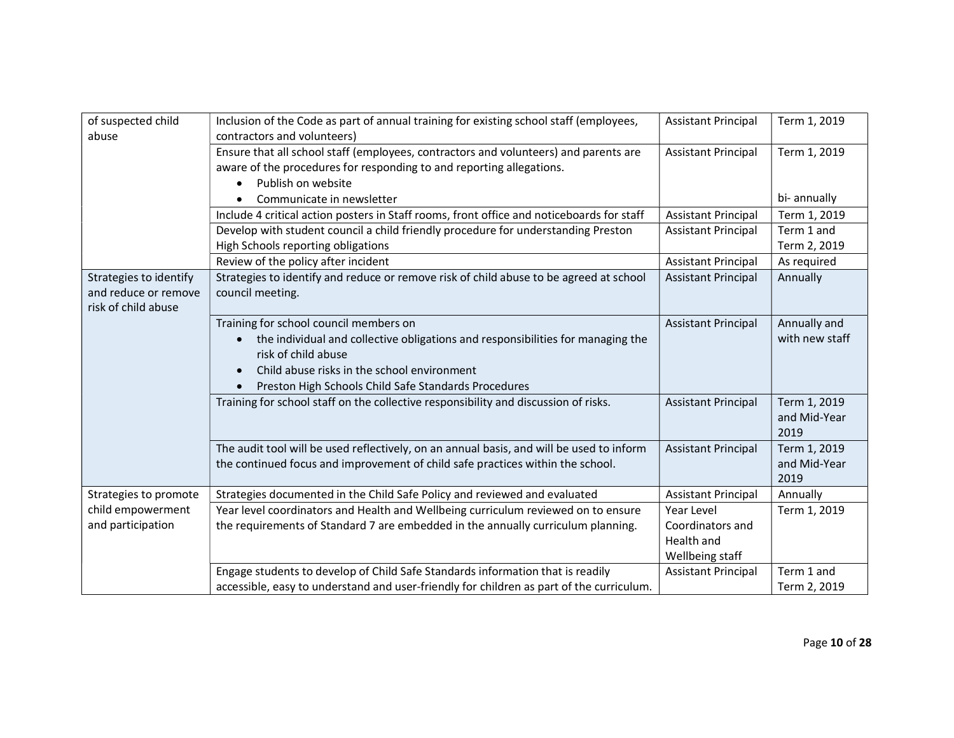| of suspected child<br>abuse                                           | Inclusion of the Code as part of annual training for existing school staff (employees,<br>contractors and volunteers)                                                                                                                                                | <b>Assistant Principal</b>     | Term 1, 2019                         |
|-----------------------------------------------------------------------|----------------------------------------------------------------------------------------------------------------------------------------------------------------------------------------------------------------------------------------------------------------------|--------------------------------|--------------------------------------|
|                                                                       | Ensure that all school staff (employees, contractors and volunteers) and parents are<br>aware of the procedures for responding to and reporting allegations.                                                                                                         | <b>Assistant Principal</b>     | Term 1, 2019                         |
|                                                                       | Publish on website<br>Communicate in newsletter                                                                                                                                                                                                                      |                                | bi- annually                         |
|                                                                       | Include 4 critical action posters in Staff rooms, front office and noticeboards for staff                                                                                                                                                                            | <b>Assistant Principal</b>     | Term 1, 2019                         |
|                                                                       | Develop with student council a child friendly procedure for understanding Preston<br>High Schools reporting obligations                                                                                                                                              | <b>Assistant Principal</b>     | Term 1 and<br>Term 2, 2019           |
|                                                                       | Review of the policy after incident                                                                                                                                                                                                                                  | <b>Assistant Principal</b>     | As required                          |
| Strategies to identify<br>and reduce or remove<br>risk of child abuse | Strategies to identify and reduce or remove risk of child abuse to be agreed at school<br>council meeting.                                                                                                                                                           | <b>Assistant Principal</b>     | Annually                             |
|                                                                       | Training for school council members on<br>the individual and collective obligations and responsibilities for managing the<br>$\bullet$<br>risk of child abuse<br>Child abuse risks in the school environment<br>Preston High Schools Child Safe Standards Procedures | <b>Assistant Principal</b>     | Annually and<br>with new staff       |
|                                                                       | Training for school staff on the collective responsibility and discussion of risks.                                                                                                                                                                                  | <b>Assistant Principal</b>     | Term 1, 2019<br>and Mid-Year<br>2019 |
|                                                                       | The audit tool will be used reflectively, on an annual basis, and will be used to inform<br>the continued focus and improvement of child safe practices within the school.                                                                                           | <b>Assistant Principal</b>     | Term 1, 2019<br>and Mid-Year<br>2019 |
| Strategies to promote                                                 | Strategies documented in the Child Safe Policy and reviewed and evaluated                                                                                                                                                                                            | <b>Assistant Principal</b>     | Annually                             |
| child empowerment<br>and participation                                | Year level coordinators and Health and Wellbeing curriculum reviewed on to ensure<br>the requirements of Standard 7 are embedded in the annually curriculum planning.                                                                                                | Year Level<br>Coordinators and | Term 1, 2019                         |
|                                                                       |                                                                                                                                                                                                                                                                      | Health and<br>Wellbeing staff  |                                      |
|                                                                       | Engage students to develop of Child Safe Standards information that is readily<br>accessible, easy to understand and user-friendly for children as part of the curriculum.                                                                                           | <b>Assistant Principal</b>     | Term 1 and<br>Term 2, 2019           |
|                                                                       |                                                                                                                                                                                                                                                                      |                                |                                      |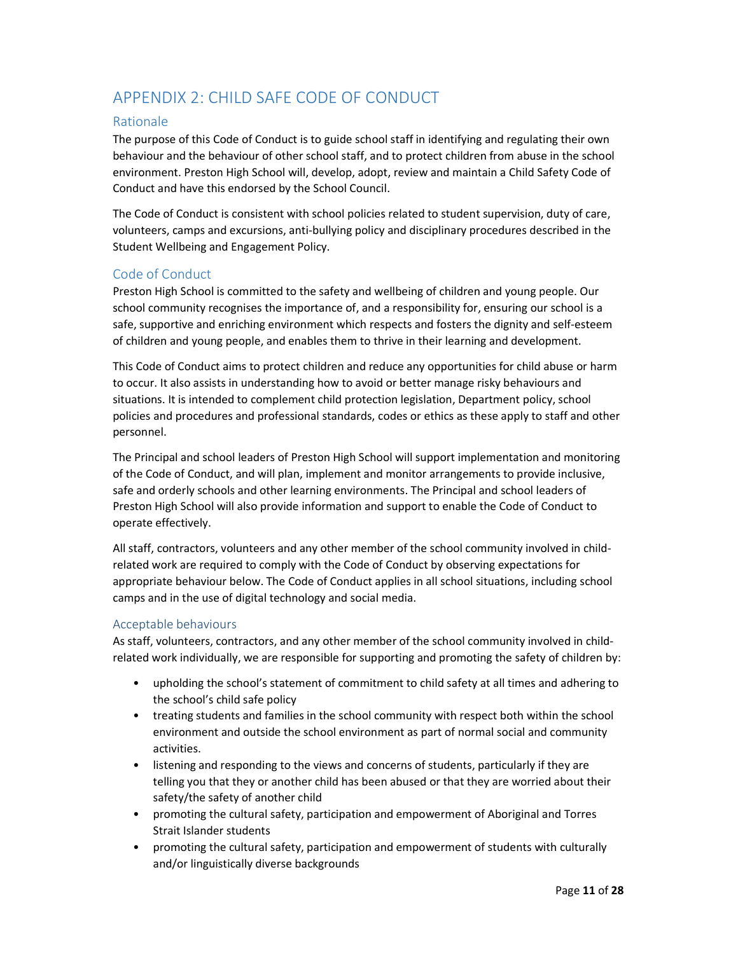# APPENDIX 2: CHILD SAFE CODE OF CONDUCT

# Rationale

The purpose of this Code of Conduct is to guide school staff in identifying and regulating their own behaviour and the behaviour of other school staff, and to protect children from abuse in the school environment. Preston High School will, develop, adopt, review and maintain a Child Safety Code of Conduct and have this endorsed by the School Council.

The Code of Conduct is consistent with school policies related to student supervision, duty of care, volunteers, camps and excursions, anti-bullying policy and disciplinary procedures described in the Student Wellbeing and Engagement Policy.

# Code of Conduct

Preston High School is committed to the safety and wellbeing of children and young people. Our school community recognises the importance of, and a responsibility for, ensuring our school is a safe, supportive and enriching environment which respects and fosters the dignity and self-esteem of children and young people, and enables them to thrive in their learning and development.

This Code of Conduct aims to protect children and reduce any opportunities for child abuse or harm to occur. It also assists in understanding how to avoid or better manage risky behaviours and situations. It is intended to complement child protection legislation, Department policy, school policies and procedures and professional standards, codes or ethics as these apply to staff and other personnel.

The Principal and school leaders of Preston High School will support implementation and monitoring of the Code of Conduct, and will plan, implement and monitor arrangements to provide inclusive, safe and orderly schools and other learning environments. The Principal and school leaders of Preston High School will also provide information and support to enable the Code of Conduct to operate effectively.

All staff, contractors, volunteers and any other member of the school community involved in childrelated work are required to comply with the Code of Conduct by observing expectations for appropriate behaviour below. The Code of Conduct applies in all school situations, including school camps and in the use of digital technology and social media.

# Acceptable behaviours

As staff, volunteers, contractors, and any other member of the school community involved in childrelated work individually, we are responsible for supporting and promoting the safety of children by:

- upholding the school's statement of commitment to child safety at all times and adhering to the school's child safe policy
- treating students and families in the school community with respect both within the school environment and outside the school environment as part of normal social and community activities.
- listening and responding to the views and concerns of students, particularly if they are telling you that they or another child has been abused or that they are worried about their safety/the safety of another child
- promoting the cultural safety, participation and empowerment of Aboriginal and Torres Strait Islander students
- promoting the cultural safety, participation and empowerment of students with culturally and/or linguistically diverse backgrounds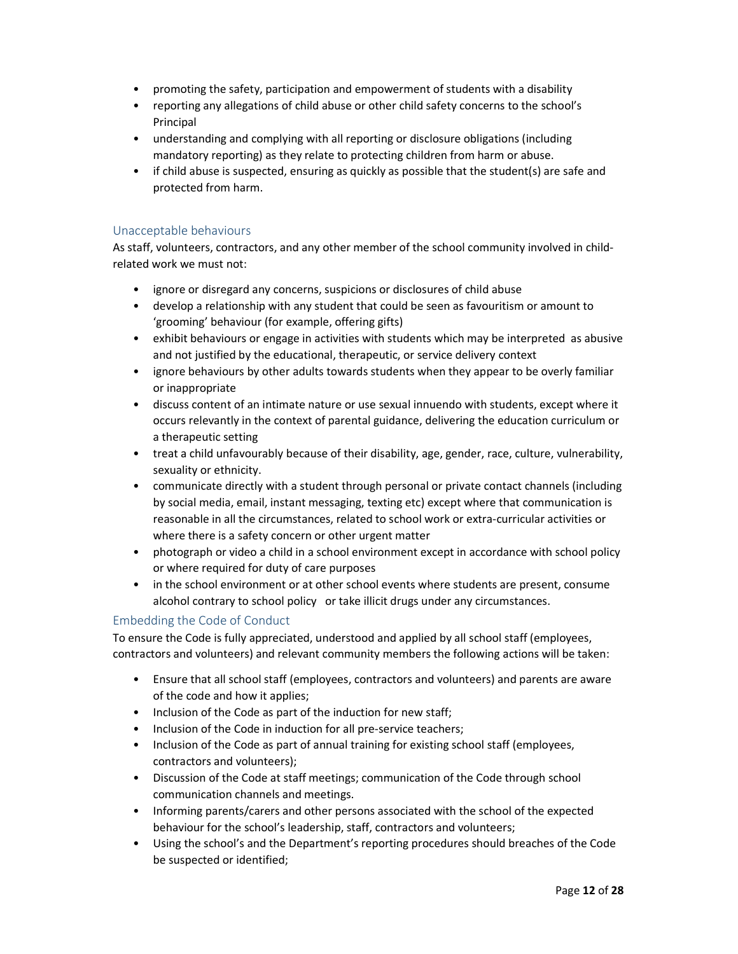- promoting the safety, participation and empowerment of students with a disability
- reporting any allegations of child abuse or other child safety concerns to the school's Principal
- understanding and complying with all reporting or disclosure obligations (including mandatory reporting) as they relate to protecting children from harm or abuse.
- if child abuse is suspected, ensuring as quickly as possible that the student(s) are safe and protected from harm.

#### Unacceptable behaviours

As staff, volunteers, contractors, and any other member of the school community involved in childrelated work we must not:

- ignore or disregard any concerns, suspicions or disclosures of child abuse
- develop a relationship with any student that could be seen as favouritism or amount to 'grooming' behaviour (for example, offering gifts)
- exhibit behaviours or engage in activities with students which may be interpreted as abusive and not justified by the educational, therapeutic, or service delivery context
- ignore behaviours by other adults towards students when they appear to be overly familiar or inappropriate
- discuss content of an intimate nature or use sexual innuendo with students, except where it occurs relevantly in the context of parental guidance, delivering the education curriculum or a therapeutic setting
- treat a child unfavourably because of their disability, age, gender, race, culture, vulnerability, sexuality or ethnicity.
- communicate directly with a student through personal or private contact channels (including by social media, email, instant messaging, texting etc) except where that communication is reasonable in all the circumstances, related to school work or extra-curricular activities or where there is a safety concern or other urgent matter
- photograph or video a child in a school environment except in accordance with school policy or where required for duty of care purposes
- in the school environment or at other school events where students are present, consume alcohol contrary to school policy or take illicit drugs under any circumstances.

# Embedding the Code of Conduct

To ensure the Code is fully appreciated, understood and applied by all school staff (employees, contractors and volunteers) and relevant community members the following actions will be taken:

- Ensure that all school staff (employees, contractors and volunteers) and parents are aware of the code and how it applies;
- Inclusion of the Code as part of the induction for new staff;
- Inclusion of the Code in induction for all pre-service teachers;
- Inclusion of the Code as part of annual training for existing school staff (employees, contractors and volunteers);
- Discussion of the Code at staff meetings; communication of the Code through school communication channels and meetings.
- Informing parents/carers and other persons associated with the school of the expected behaviour for the school's leadership, staff, contractors and volunteers;
- Using the school's and the Department's reporting procedures should breaches of the Code be suspected or identified;